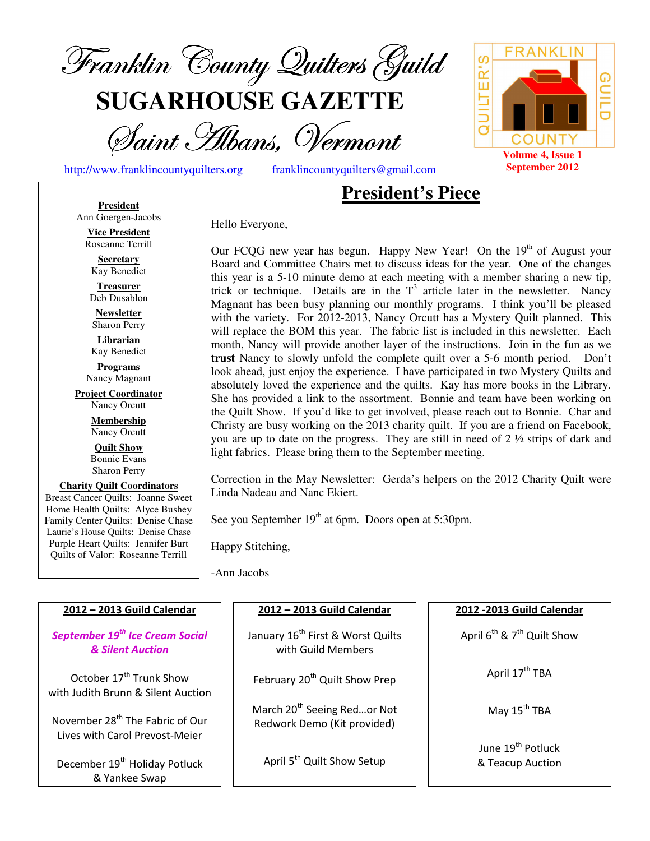

**SUGARHOUSE GAZETTE**

Saint Hibans, Vermont

http://www.franklincountyquilters.org franklincountyquilters@gmail.com

# **President's Piece**

**President** Ann Goergen-Jacobs

**Vice President**  Roseanne Terrill

**Secretary**  Kay Benedict

**Treasurer**  Deb Dusablon

**Newsletter**  Sharon Perry

**Librarian**  Kay Benedict

**Programs** Nancy Magnant

**Project Coordinator** Nancy Orcutt

> **Membership**  Nancy Orcutt

**Quilt Show** Bonnie Evans Sharon Perry

**Charity Quilt Coordinators** Breast Cancer Quilts: Joanne Sweet Home Health Quilts: Alyce Bushey Family Center Quilts: Denise Chase Laurie's House Quilts: Denise Chase Purple Heart Quilts: Jennifer Burt Quilts of Valor: Roseanne Terrill

Hello Everyone,

Our FCQG new year has begun. Happy New Year! On the 19<sup>th</sup> of August your Board and Committee Chairs met to discuss ideas for the year. One of the changes this year is a 5-10 minute demo at each meeting with a member sharing a new tip, trick or technique. Details are in the  $T<sup>3</sup>$  article later in the newsletter. Nancy Magnant has been busy planning our monthly programs. I think you'll be pleased with the variety. For 2012-2013, Nancy Orcutt has a Mystery Quilt planned. This will replace the BOM this year. The fabric list is included in this newsletter. Each month, Nancy will provide another layer of the instructions. Join in the fun as we **trust** Nancy to slowly unfold the complete quilt over a 5-6 month period. Don't look ahead, just enjoy the experience. I have participated in two Mystery Quilts and absolutely loved the experience and the quilts. Kay has more books in the Library. She has provided a link to the assortment. Bonnie and team have been working on the Quilt Show. If you'd like to get involved, please reach out to Bonnie. Char and Christy are busy working on the 2013 charity quilt. If you are a friend on Facebook, you are up to date on the progress. They are still in need of 2 ½ strips of dark and light fabrics. Please bring them to the September meeting.

Correction in the May Newsletter: Gerda's helpers on the 2012 Charity Quilt were Linda Nadeau and Nanc Ekiert.

See you September  $19<sup>th</sup>$  at 6pm. Doors open at 5:30pm.

Happy Stitching,

-Ann Jacobs

| 2012 - 2013 Guild Calendar                                                    | 2012 - 2013 Guild Calendar                                             | 2012 - 2013 Guild Calendar                        |  |
|-------------------------------------------------------------------------------|------------------------------------------------------------------------|---------------------------------------------------|--|
| September 19 <sup>th</sup> Ice Cream Social<br><b>&amp; Silent Auction</b>    | January 16 <sup>th</sup> First & Worst Quilts<br>with Guild Members    | April $6^{th}$ & $7^{th}$ Quilt Show              |  |
| October 17 <sup>th</sup> Trunk Show<br>with Judith Brunn & Silent Auction     | February 20 <sup>th</sup> Quilt Show Prep                              | April 17 <sup>th</sup> TBA                        |  |
| November 28 <sup>th</sup> The Fabric of Our<br>Lives with Carol Prevost-Meier | March 20 <sup>th</sup> Seeing Redor Not<br>Redwork Demo (Kit provided) | May 15 <sup>th</sup> TBA                          |  |
| December 19 <sup>th</sup> Holiday Potluck<br>& Yankee Swap                    | April 5 <sup>th</sup> Quilt Show Setup                                 | June 19 <sup>th</sup> Potluck<br>& Teacup Auction |  |

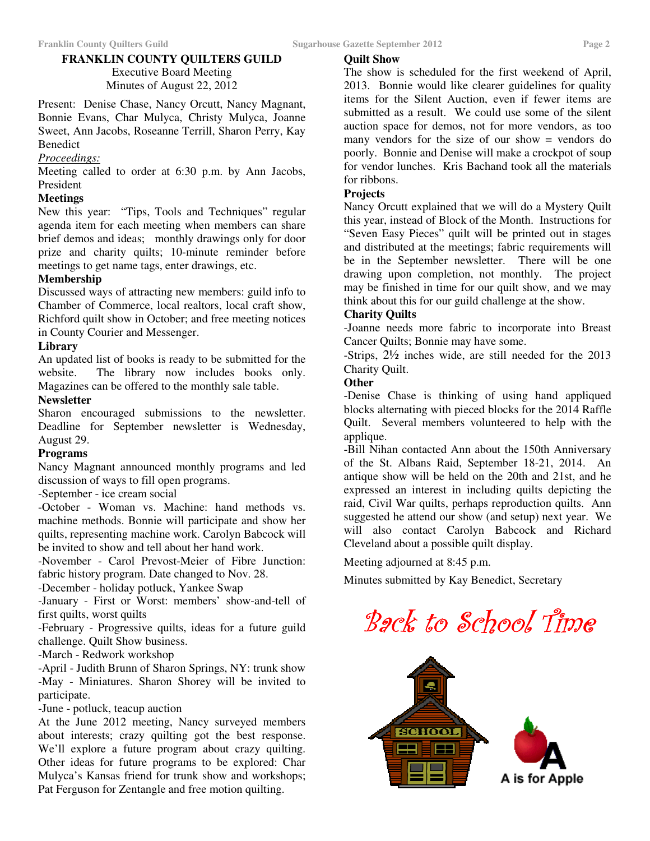# **FRANKLIN COUNTY QUILTERS GUILD**

Executive Board Meeting Minutes of August 22, 2012

Present: Denise Chase, Nancy Orcutt, Nancy Magnant, Bonnie Evans, Char Mulyca, Christy Mulyca, Joanne Sweet, Ann Jacobs, Roseanne Terrill, Sharon Perry, Kay Benedict

#### *Proceedings:*

Meeting called to order at 6:30 p.m. by Ann Jacobs, President

#### **Meetings**

New this year: "Tips, Tools and Techniques" regular agenda item for each meeting when members can share brief demos and ideas; monthly drawings only for door prize and charity quilts; 10-minute reminder before meetings to get name tags, enter drawings, etc.

#### **Membership**

Discussed ways of attracting new members: guild info to Chamber of Commerce, local realtors, local craft show, Richford quilt show in October; and free meeting notices in County Courier and Messenger.

#### **Library**

An updated list of books is ready to be submitted for the website. The library now includes books only. Magazines can be offered to the monthly sale table.

#### **Newsletter**

Sharon encouraged submissions to the newsletter. Deadline for September newsletter is Wednesday, August 29.

#### **Programs**

Nancy Magnant announced monthly programs and led discussion of ways to fill open programs.

-September - ice cream social

-October - Woman vs. Machine: hand methods vs. machine methods. Bonnie will participate and show her quilts, representing machine work. Carolyn Babcock will be invited to show and tell about her hand work.

-November - Carol Prevost-Meier of Fibre Junction: fabric history program. Date changed to Nov. 28.

-December - holiday potluck, Yankee Swap

-January - First or Worst: members' show-and-tell of first quilts, worst quilts

-February - Progressive quilts, ideas for a future guild challenge. Quilt Show business.

-March - Redwork workshop

-April - Judith Brunn of Sharon Springs, NY: trunk show -May - Miniatures. Sharon Shorey will be invited to participate.

-June - potluck, teacup auction

At the June 2012 meeting, Nancy surveyed members about interests; crazy quilting got the best response. We'll explore a future program about crazy quilting. Other ideas for future programs to be explored: Char Mulyca's Kansas friend for trunk show and workshops; Pat Ferguson for Zentangle and free motion quilting.

# **Quilt Show**

The show is scheduled for the first weekend of April, 2013. Bonnie would like clearer guidelines for quality items for the Silent Auction, even if fewer items are submitted as a result. We could use some of the silent auction space for demos, not for more vendors, as too many vendors for the size of our show = vendors do poorly. Bonnie and Denise will make a crockpot of soup for vendor lunches. Kris Bachand took all the materials for ribbons.

#### **Projects**

Nancy Orcutt explained that we will do a Mystery Quilt this year, instead of Block of the Month. Instructions for "Seven Easy Pieces" quilt will be printed out in stages and distributed at the meetings; fabric requirements will be in the September newsletter. There will be one drawing upon completion, not monthly. The project may be finished in time for our quilt show, and we may think about this for our guild challenge at the show.

# **Charity Quilts**

-Joanne needs more fabric to incorporate into Breast Cancer Quilts; Bonnie may have some.

-Strips, 2½ inches wide, are still needed for the 2013 Charity Quilt.

#### **Other**

-Denise Chase is thinking of using hand appliqued blocks alternating with pieced blocks for the 2014 Raffle Quilt. Several members volunteered to help with the applique.

-Bill Nihan contacted Ann about the 150th Anniversary of the St. Albans Raid, September 18-21, 2014. An antique show will be held on the 20th and 21st, and he expressed an interest in including quilts depicting the raid, Civil War quilts, perhaps reproduction quilts. Ann suggested he attend our show (and setup) next year. We will also contact Carolyn Babcock and Richard Cleveland about a possible quilt display.

Meeting adjourned at 8:45 p.m.

Minutes submitted by Kay Benedict, Secretary

# Back to School Time

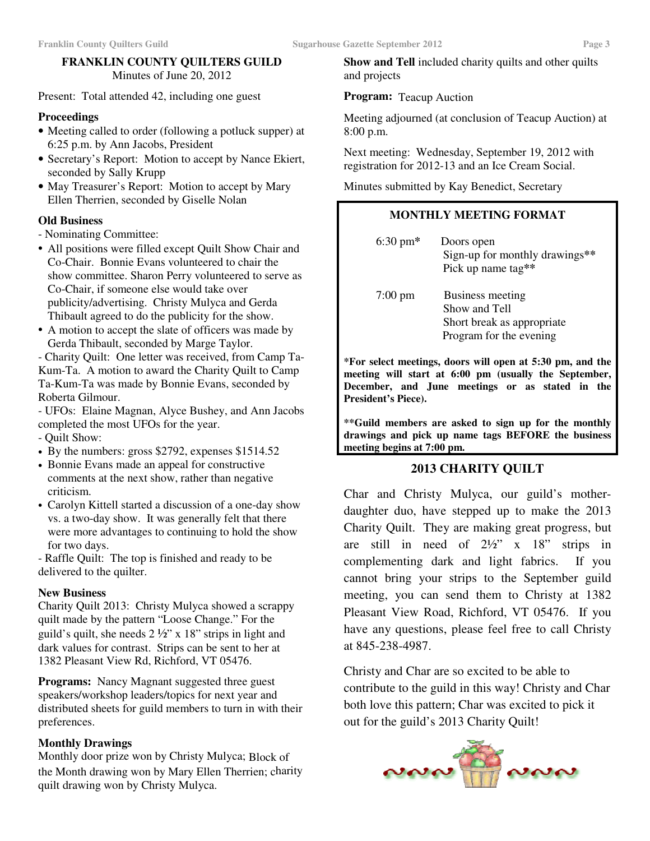Present: Total attended 42, including one guest

# **Proceedings**

- Meeting called to order (following a potluck supper) at 6:25 p.m. by Ann Jacobs, President
- Secretary's Report: Motion to accept by Nance Ekiert, seconded by Sally Krupp
- May Treasurer's Report: Motion to accept by Mary Ellen Therrien, seconded by Giselle Nolan

# **Old Business**

- Nominating Committee:
- All positions were filled except Quilt Show Chair and Co-Chair. Bonnie Evans volunteered to chair the show committee. Sharon Perry volunteered to serve as Co-Chair, if someone else would take over publicity/advertising. Christy Mulyca and Gerda Thibault agreed to do the publicity for the show.
- A motion to accept the slate of officers was made by Gerda Thibault, seconded by Marge Taylor.

- Charity Quilt: One letter was received, from Camp Ta-Kum-Ta. A motion to award the Charity Quilt to Camp Ta-Kum-Ta was made by Bonnie Evans, seconded by Roberta Gilmour.

- UFOs: Elaine Magnan, Alyce Bushey, and Ann Jacobs completed the most UFOs for the year.

- Quilt Show:
- By the numbers: gross \$2792, expenses \$1514.52
- Bonnie Evans made an appeal for constructive comments at the next show, rather than negative criticism.
- Carolyn Kittell started a discussion of a one-day show vs. a two-day show. It was generally felt that there were more advantages to continuing to hold the show for two days.

- Raffle Quilt: The top is finished and ready to be delivered to the quilter.

# **New Business**

Charity Quilt 2013: Christy Mulyca showed a scrappy quilt made by the pattern "Loose Change." For the guild's quilt, she needs  $2\frac{1}{2}$ " x 18" strips in light and dark values for contrast. Strips can be sent to her at 1382 Pleasant View Rd, Richford, VT 05476.

**Programs:** Nancy Magnant suggested three guest speakers/workshop leaders/topics for next year and distributed sheets for guild members to turn in with their preferences.

# **Monthly Drawings**

Monthly door prize won by Christy Mulyca; Block of the Month drawing won by Mary Ellen Therrien; charity quilt drawing won by Christy Mulyca.

**Show and Tell** included charity quilts and other quilts and projects

# **Program:** Teacup Auction

Meeting adjourned (at conclusion of Teacup Auction) at 8:00 p.m.

Next meeting: Wednesday, September 19, 2012 with registration for 2012-13 and an Ice Cream Social.

Minutes submitted by Kay Benedict, Secretary

# **MONTHLY MEETING FORMAT**

 6:30 pm**\*** Doors open Sign-up for monthly drawings**\*\*** Pick up name tag**\*\***  7:00 pm Business meeting Show and Tell Short break as appropriate Program for the evening

**\*For select meetings, doors will open at 5:30 pm, and the meeting will start at 6:00 pm (usually the September, December, and June meetings or as stated in the President's Piece).** 

**\*\*Guild members are asked to sign up for the monthly drawings and pick up name tags BEFORE the business meeting begins at 7:00 pm.** 

# **2013 CHARITY QUILT**

Char and Christy Mulyca, our guild's motherdaughter duo, have stepped up to make the 2013 Charity Quilt. They are making great progress, but are still in need of  $2\frac{1}{2}$ " x 18" strips in complementing dark and light fabrics. If you cannot bring your strips to the September guild meeting, you can send them to Christy at 1382 Pleasant View Road, Richford, VT 05476. If you have any questions, please feel free to call Christy at 845-238-4987.

Christy and Char are so excited to be able to contribute to the guild in this way! Christy and Char both love this pattern; Char was excited to pick it out for the guild's 2013 Charity Quilt!

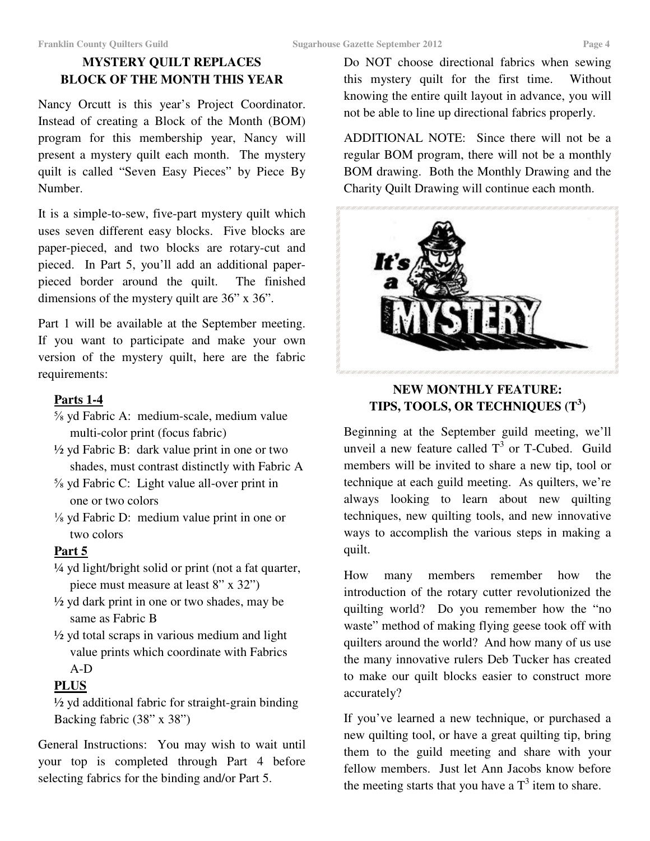# **MYSTERY QUILT REPLACES BLOCK OF THE MONTH THIS YEAR**

Nancy Orcutt is this year's Project Coordinator. Instead of creating a Block of the Month (BOM) program for this membership year, Nancy will present a mystery quilt each month. The mystery quilt is called "Seven Easy Pieces" by Piece By Number.

It is a simple-to-sew, five-part mystery quilt which uses seven different easy blocks. Five blocks are paper-pieced, and two blocks are rotary-cut and pieced. In Part 5, you'll add an additional paperpieced border around the quilt. The finished dimensions of the mystery quilt are 36" x 36".

Part 1 will be available at the September meeting. If you want to participate and make your own version of the mystery quilt, here are the fabric requirements:

# **Parts 1-4**

- ⅝ yd Fabric A: medium-scale, medium value multi-color print (focus fabric)
- ½ yd Fabric B: dark value print in one or two shades, must contrast distinctly with Fabric A
- ⅝ yd Fabric C: Light value all-over print in one or two colors
- ⅛ yd Fabric D: medium value print in one or two colors

# **Part 5**

- ¼ yd light/bright solid or print (not a fat quarter, piece must measure at least 8" x 32")
- $\frac{1}{2}$  yd dark print in one or two shades, may be same as Fabric B
- $\frac{1}{2}$  yd total scraps in various medium and light value prints which coordinate with Fabrics A-D

# **PLUS**

 ½ yd additional fabric for straight-grain binding Backing fabric (38" x 38")

General Instructions: You may wish to wait until your top is completed through Part 4 before selecting fabrics for the binding and/or Part 5.

Do NOT choose directional fabrics when sewing this mystery quilt for the first time. Without knowing the entire quilt layout in advance, you will not be able to line up directional fabrics properly.

ADDITIONAL NOTE: Since there will not be a regular BOM program, there will not be a monthly BOM drawing. Both the Monthly Drawing and the Charity Quilt Drawing will continue each month.



# **NEW MONTHLY FEATURE: TIPS, TOOLS, OR TECHNIQUES (T<sup>3</sup> )**

Beginning at the September guild meeting, we'll unveil a new feature called  $T^3$  or T-Cubed. Guild members will be invited to share a new tip, tool or technique at each guild meeting. As quilters, we're always looking to learn about new quilting techniques, new quilting tools, and new innovative ways to accomplish the various steps in making a quilt.

How many members remember how the introduction of the rotary cutter revolutionized the quilting world? Do you remember how the "no waste" method of making flying geese took off with quilters around the world? And how many of us use the many innovative rulers Deb Tucker has created to make our quilt blocks easier to construct more accurately?

If you've learned a new technique, or purchased a new quilting tool, or have a great quilting tip, bring them to the guild meeting and share with your fellow members. Just let Ann Jacobs know before the meeting starts that you have a  $T<sup>3</sup>$  item to share.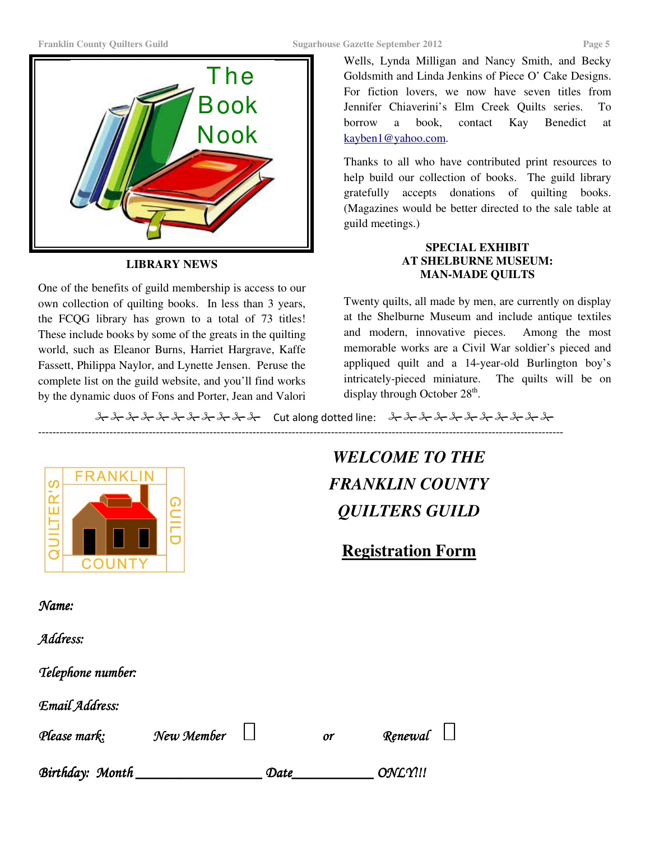

**LIBRARY NEWS** 

One of the benefits of guild membership is access to our own collection of quilting books. In less than 3 years, the FCQG library has grown to a total of 73 titles! These include books by some of the greats in the quilting world, such as Eleanor Burns, Harriet Hargrave, Kaffe Fassett, Philippa Naylor, and Lynette Jensen. Peruse the complete list on the guild website, and you'll find works by the dynamic duos of Fons and Porter, Jean and Valori

Wells, Lynda Milligan and Nancy Smith, and Becky Goldsmith and Linda Jenkins of Piece O' Cake Designs. For fiction lovers, we now have seven titles from Jennifer Chiaverini's Elm Creek Quilts series. To borrow a book, contact Kay Benedict at kayben1@yahoo.com.

Thanks to all who have contributed print resources to help build our collection of books. The guild library gratefully accepts donations of quilting books. (Magazines would be better directed to the sale table at guild meetings.)

# **SPECIAL EXHIBIT AT SHELBURNE MUSEUM: MAN-MADE QUILTS**

Twenty quilts, all made by men, are currently on display at the Shelburne Museum and include antique textiles and modern, innovative pieces. Among the most memorable works are a Civil War soldier's pieced and appliqued quilt and a 14-year-old Burlington boy's intricately-pieced miniature. The quilts will be on display through October  $28<sup>th</sup>$ .

Cut along dotted line:

---------------------------------------------------------------------------------------------------------------------------------------------------



*WELCOME TO THE FRANKLIN COUNTY QUILTERS GUILD* 

**Registration Form** 

Name:

Address:

Telephone number:

Email Address:

Please mark: Mew Member New Yor Menewal

Birthday: Month Date Date ONLY!!!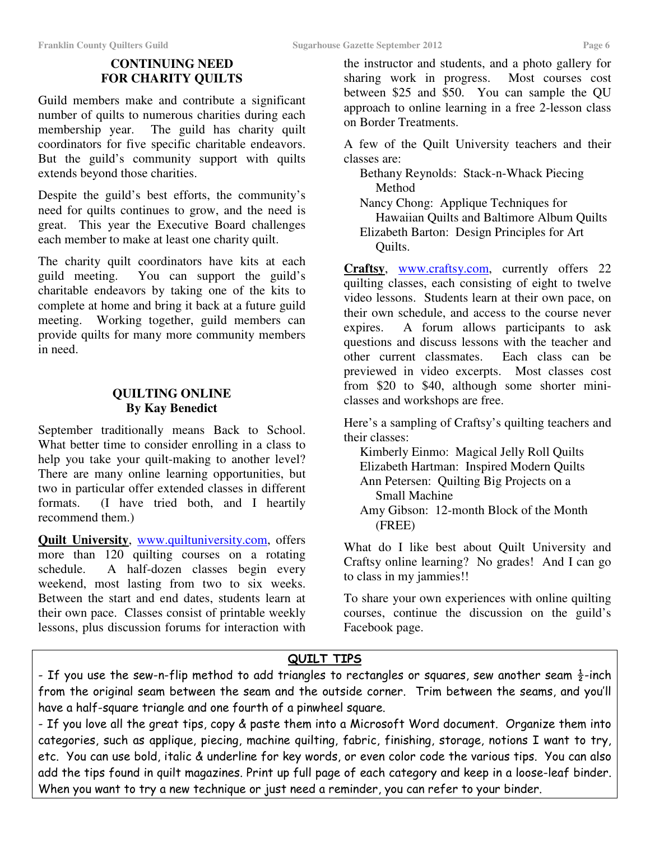# **CONTINUING NEED FOR CHARITY QUILTS**

Guild members make and contribute a significant number of quilts to numerous charities during each membership year. The guild has charity quilt coordinators for five specific charitable endeavors. But the guild's community support with quilts extends beyond those charities.

Despite the guild's best efforts, the community's need for quilts continues to grow, and the need is great. This year the Executive Board challenges each member to make at least one charity quilt.

The charity quilt coordinators have kits at each guild meeting. You can support the guild's You can support the guild's charitable endeavors by taking one of the kits to complete at home and bring it back at a future guild meeting. Working together, guild members can provide quilts for many more community members in need.

# **QUILTING ONLINE By Kay Benedict**

September traditionally means Back to School. What better time to consider enrolling in a class to help you take your quilt-making to another level? There are many online learning opportunities, but two in particular offer extended classes in different formats. (I have tried both, and I heartily recommend them.)

**Quilt University**, www.quiltuniversity.com, offers more than 120 quilting courses on a rotating schedule. A half-dozen classes begin every weekend, most lasting from two to six weeks. Between the start and end dates, students learn at their own pace. Classes consist of printable weekly lessons, plus discussion forums for interaction with

the instructor and students, and a photo gallery for sharing work in progress. Most courses cost between \$25 and \$50. You can sample the QU approach to online learning in a free 2-lesson class on Border Treatments.

A few of the Quilt University teachers and their classes are:

 Bethany Reynolds: Stack-n-Whack Piecing Method

 Nancy Chong: Applique Techniques for Hawaiian Quilts and Baltimore Album Quilts Elizabeth Barton: Design Principles for Art Quilts.

**Craftsy**, www.craftsy.com, currently offers 22 quilting classes, each consisting of eight to twelve video lessons. Students learn at their own pace, on their own schedule, and access to the course never expires. A forum allows participants to ask questions and discuss lessons with the teacher and other current classmates. Each class can be previewed in video excerpts. Most classes cost from \$20 to \$40, although some shorter miniclasses and workshops are free.

Here's a sampling of Craftsy's quilting teachers and their classes:

 Kimberly Einmo: Magical Jelly Roll Quilts Elizabeth Hartman: Inspired Modern Quilts Ann Petersen: Quilting Big Projects on a Small Machine

 Amy Gibson: 12-month Block of the Month (FREE)

What do I like best about Quilt University and Craftsy online learning? No grades! And I can go to class in my jammies!!

To share your own experiences with online quilting courses, continue the discussion on the guild's Facebook page.

# QUILT TIPS

- If you use the sew-n-flip method to add triangles to rectangles or squares, sew another seam  $\frac{1}{2}$ -inch from the original seam between the seam and the outside corner. Trim between the seams, and you'll have a half-square triangle and one fourth of a pinwheel square.

- If you love all the great tips, copy & paste them into a Microsoft Word document. Organize them into categories, such as applique, piecing, machine quilting, fabric, finishing, storage, notions I want to try, etc. You can use bold, italic & underline for key words, or even color code the various tips. You can also add the tips found in quilt magazines. Print up full page of each category and keep in a loose-leaf binder. When you want to try a new technique or just need a reminder, you can refer to your binder.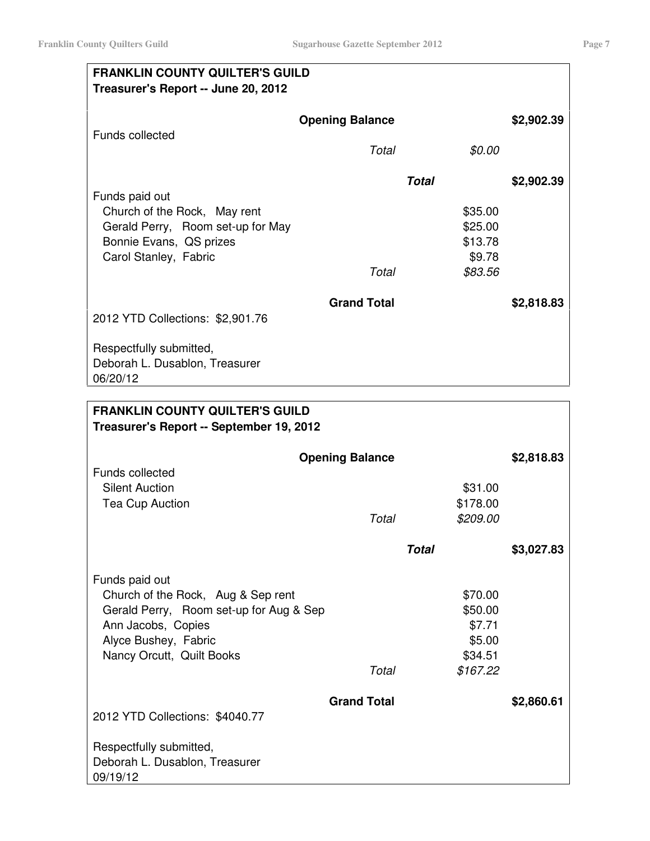| <b>FRANKLIN COUNTY QUILTER'S GUILD</b><br>Treasurer's Report -- June 20, 2012 |  |  |  |
|-------------------------------------------------------------------------------|--|--|--|
| \$2,902.39                                                                    |  |  |  |
|                                                                               |  |  |  |
| \$2,902.39                                                                    |  |  |  |
|                                                                               |  |  |  |
|                                                                               |  |  |  |
|                                                                               |  |  |  |
|                                                                               |  |  |  |
| \$2,818.83                                                                    |  |  |  |
|                                                                               |  |  |  |
|                                                                               |  |  |  |
|                                                                               |  |  |  |
|                                                                               |  |  |  |

| <b>FRANKLIN COUNTY QUILTER'S GUILD</b>                                        |       |                    |            |  |
|-------------------------------------------------------------------------------|-------|--------------------|------------|--|
| Treasurer's Report -- September 19, 2012                                      |       |                    |            |  |
| <b>Opening Balance</b><br><b>Funds collected</b>                              |       |                    | \$2,818.83 |  |
| <b>Silent Auction</b>                                                         |       | \$31.00            |            |  |
| Tea Cup Auction                                                               |       | \$178.00           |            |  |
|                                                                               | Total | \$209.00           |            |  |
|                                                                               |       | <b>Total</b>       | \$3,027.83 |  |
| Funds paid out                                                                |       |                    |            |  |
| Church of the Rock, Aug & Sep rent<br>Gerald Perry, Room set-up for Aug & Sep |       | \$70.00<br>\$50.00 |            |  |
| Ann Jacobs, Copies                                                            |       | \$7.71             |            |  |
| Alyce Bushey, Fabric                                                          |       | \$5.00             |            |  |
| Nancy Orcutt, Quilt Books                                                     |       | \$34.51            |            |  |
|                                                                               | Total | \$167.22           |            |  |
| <b>Grand Total</b>                                                            |       |                    | \$2,860.61 |  |
| 2012 YTD Collections: \$4040.77                                               |       |                    |            |  |
| Respectfully submitted,                                                       |       |                    |            |  |
| Deborah L. Dusablon, Treasurer<br>09/19/12                                    |       |                    |            |  |